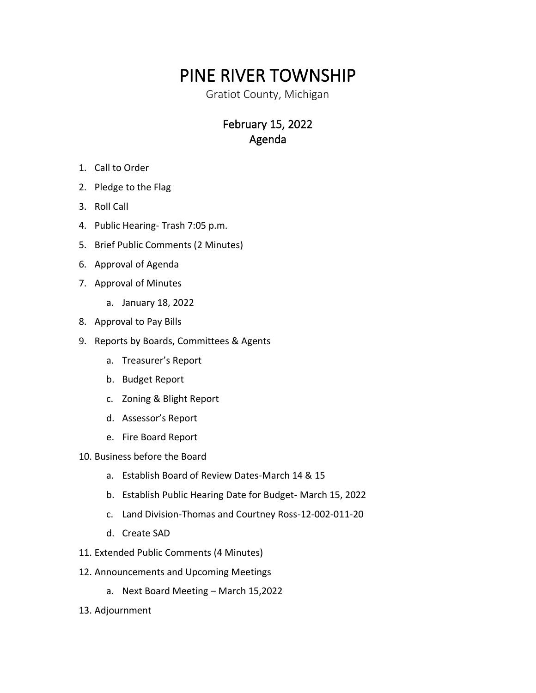## PINE RIVER TOWNSHIP

Gratiot County, Michigan

## February 15, 2022 Agenda

- 1. Call to Order
- 2. Pledge to the Flag
- 3. Roll Call
- 4. Public Hearing- Trash 7:05 p.m.
- 5. Brief Public Comments (2 Minutes)
- 6. Approval of Agenda
- 7. Approval of Minutes
	- a. January 18, 2022
- 8. Approval to Pay Bills
- 9. Reports by Boards, Committees & Agents
	- a. Treasurer's Report
	- b. Budget Report
	- c. Zoning & Blight Report
	- d. Assessor's Report
	- e. Fire Board Report
- 10. Business before the Board
	- a. Establish Board of Review Dates-March 14 & 15
	- b. Establish Public Hearing Date for Budget- March 15, 2022
	- c. Land Division-Thomas and Courtney Ross-12-002-011-20
	- d. Create SAD
- 11. Extended Public Comments (4 Minutes)
- 12. Announcements and Upcoming Meetings
	- a. Next Board Meeting March 15,2022
- 13. Adjournment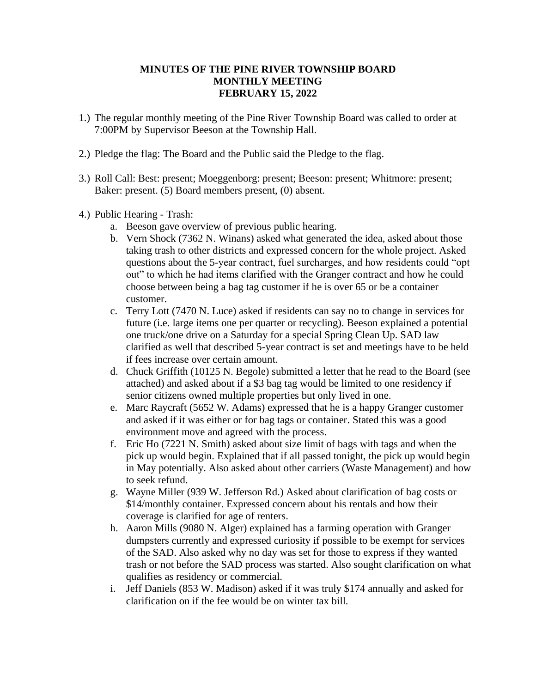## **MINUTES OF THE PINE RIVER TOWNSHIP BOARD MONTHLY MEETING FEBRUARY 15, 2022**

- 1.) The regular monthly meeting of the Pine River Township Board was called to order at 7:00PM by Supervisor Beeson at the Township Hall.
- 2.) Pledge the flag: The Board and the Public said the Pledge to the flag.
- 3.) Roll Call: Best: present; Moeggenborg: present; Beeson: present; Whitmore: present; Baker: present. (5) Board members present, (0) absent.
- 4.) Public Hearing Trash:
	- a. Beeson gave overview of previous public hearing.
	- b. Vern Shock (7362 N. Winans) asked what generated the idea, asked about those taking trash to other districts and expressed concern for the whole project. Asked questions about the 5-year contract, fuel surcharges, and how residents could "opt out" to which he had items clarified with the Granger contract and how he could choose between being a bag tag customer if he is over 65 or be a container customer.
	- c. Terry Lott (7470 N. Luce) asked if residents can say no to change in services for future (i.e. large items one per quarter or recycling). Beeson explained a potential one truck/one drive on a Saturday for a special Spring Clean Up. SAD law clarified as well that described 5-year contract is set and meetings have to be held if fees increase over certain amount.
	- d. Chuck Griffith (10125 N. Begole) submitted a letter that he read to the Board (see attached) and asked about if a \$3 bag tag would be limited to one residency if senior citizens owned multiple properties but only lived in one.
	- e. Marc Raycraft (5652 W. Adams) expressed that he is a happy Granger customer and asked if it was either or for bag tags or container. Stated this was a good environment move and agreed with the process.
	- f. Eric Ho (7221 N. Smith) asked about size limit of bags with tags and when the pick up would begin. Explained that if all passed tonight, the pick up would begin in May potentially. Also asked about other carriers (Waste Management) and how to seek refund.
	- g. Wayne Miller (939 W. Jefferson Rd.) Asked about clarification of bag costs or \$14/monthly container. Expressed concern about his rentals and how their coverage is clarified for age of renters.
	- h. Aaron Mills (9080 N. Alger) explained has a farming operation with Granger dumpsters currently and expressed curiosity if possible to be exempt for services of the SAD. Also asked why no day was set for those to express if they wanted trash or not before the SAD process was started. Also sought clarification on what qualifies as residency or commercial.
	- i. Jeff Daniels (853 W. Madison) asked if it was truly \$174 annually and asked for clarification on if the fee would be on winter tax bill.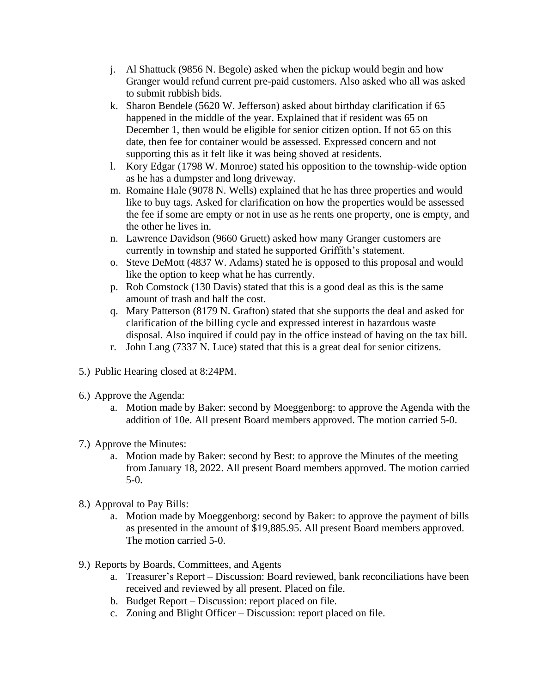- j. Al Shattuck (9856 N. Begole) asked when the pickup would begin and how Granger would refund current pre-paid customers. Also asked who all was asked to submit rubbish bids.
- k. Sharon Bendele (5620 W. Jefferson) asked about birthday clarification if 65 happened in the middle of the year. Explained that if resident was 65 on December 1, then would be eligible for senior citizen option. If not 65 on this date, then fee for container would be assessed. Expressed concern and not supporting this as it felt like it was being shoved at residents.
- l. Kory Edgar (1798 W. Monroe) stated his opposition to the township-wide option as he has a dumpster and long driveway.
- m. Romaine Hale (9078 N. Wells) explained that he has three properties and would like to buy tags. Asked for clarification on how the properties would be assessed the fee if some are empty or not in use as he rents one property, one is empty, and the other he lives in.
- n. Lawrence Davidson (9660 Gruett) asked how many Granger customers are currently in township and stated he supported Griffith's statement.
- o. Steve DeMott (4837 W. Adams) stated he is opposed to this proposal and would like the option to keep what he has currently.
- p. Rob Comstock (130 Davis) stated that this is a good deal as this is the same amount of trash and half the cost.
- q. Mary Patterson (8179 N. Grafton) stated that she supports the deal and asked for clarification of the billing cycle and expressed interest in hazardous waste disposal. Also inquired if could pay in the office instead of having on the tax bill.
- r. John Lang (7337 N. Luce) stated that this is a great deal for senior citizens.
- 5.) Public Hearing closed at 8:24PM.
- 6.) Approve the Agenda:
	- a. Motion made by Baker: second by Moeggenborg: to approve the Agenda with the addition of 10e. All present Board members approved. The motion carried 5-0.
- 7.) Approve the Minutes:
	- a. Motion made by Baker: second by Best: to approve the Minutes of the meeting from January 18, 2022. All present Board members approved. The motion carried 5-0.
- 8.) Approval to Pay Bills:
	- a. Motion made by Moeggenborg: second by Baker: to approve the payment of bills as presented in the amount of \$19,885.95. All present Board members approved. The motion carried 5-0.
- 9.) Reports by Boards, Committees, and Agents
	- a. Treasurer's Report Discussion: Board reviewed, bank reconciliations have been received and reviewed by all present. Placed on file.
	- b. Budget Report Discussion: report placed on file.
	- c. Zoning and Blight Officer Discussion: report placed on file.